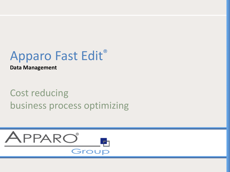## Apparo Fast Edit®

**Data Management**

#### Cost reducing business process optimizing

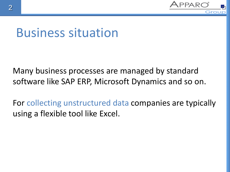

#### Business situation

Many business processes are managed by standard software like SAP ERP, Microsoft Dynamics and so on.

For collecting unstructured data companies are typically using a flexible tool like Excel.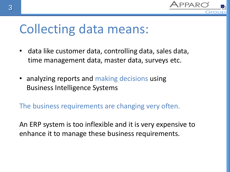

#### Collecting data means:

- data like customer data, controlling data, sales data, time management data, master data, surveys etc.
- analyzing reports and making decisions using Business Intelligence Systems

The business requirements are changing very often.

An ERP system is too inflexible and it is very expensive to enhance it to manage these business requirements.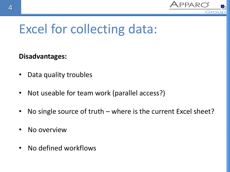

# Excel for collecting data:

**Disadvantages:**

- Data quality troubles
- Not useable for team work (parallel access?)
- No single source of truth where is the current Excel sheet?
- No overview
- No defined workflows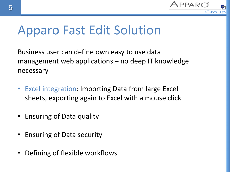

### Apparo Fast Edit Solution

Business user can define own easy to use data management web applications – no deep IT knowledge necessary

- Excel integration: Importing Data from large Excel sheets, exporting again to Excel with a mouse click
- Ensuring of Data quality
- Ensuring of Data security
- Defining of flexible workflows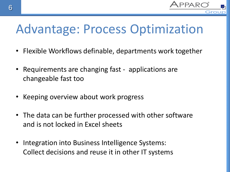

## Advantage: Process Optimization

- Flexible Workflows definable, departments work together
- Requirements are changing fast applications are changeable fast too
- Keeping overview about work progress
- The data can be further processed with other software and is not locked in Excel sheets
- Integration into Business Intelligence Systems: Collect decisions and reuse it in other IT systems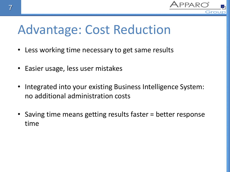

## Advantage: Cost Reduction

- Less working time necessary to get same results
- Easier usage, less user mistakes
- Integrated into your existing Business Intelligence System: no additional administration costs
- Saving time means getting results faster = better response time